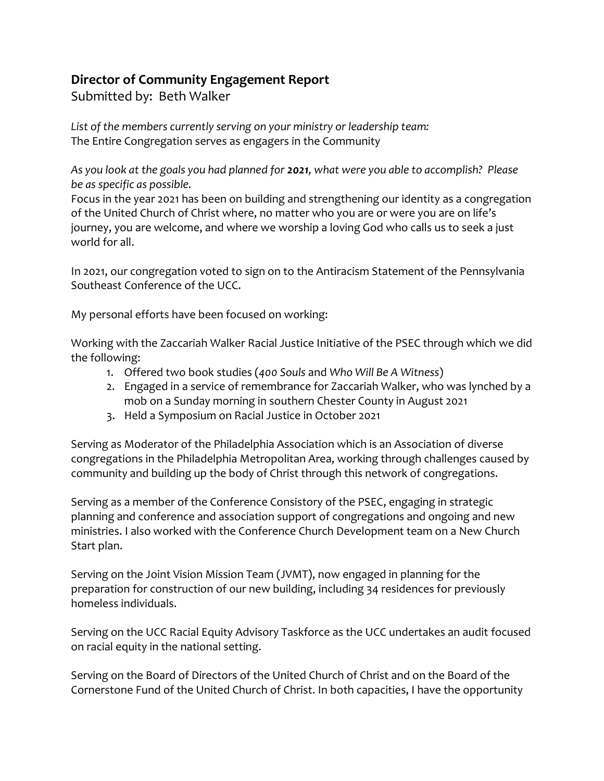## **Director of Community Engagement Report**

Submitted by: Beth Walker

*List of the members currently serving on your ministry or leadership team:* The Entire Congregation serves as engagers in the Community

*As you look at the goals you had planned for 2021, what were you able to accomplish? Please be as specific as possible.*

Focus in the year 2021 has been on building and strengthening our identity as a congregation of the United Church of Christ where, no matter who you are or were you are on life's journey, you are welcome, and where we worship a loving God who calls us to seek a just world for all.

In 2021, our congregation voted to sign on to the Antiracism Statement of the Pennsylvania Southeast Conference of the UCC.

My personal efforts have been focused on working:

Working with the Zaccariah Walker Racial Justice Initiative of the PSEC through which we did the following:

- 1. Offered two book studies (*400 Souls* and *Who Will Be A Witness*)
- 2. Engaged in a service of remembrance for Zaccariah Walker, who was lynched by a mob on a Sunday morning in southern Chester County in August 2021
- 3. Held a Symposium on Racial Justice in October 2021

Serving as Moderator of the Philadelphia Association which is an Association of diverse congregations in the Philadelphia Metropolitan Area, working through challenges caused by community and building up the body of Christ through this network of congregations.

Serving as a member of the Conference Consistory of the PSEC, engaging in strategic planning and conference and association support of congregations and ongoing and new ministries. I also worked with the Conference Church Development team on a New Church Start plan.

Serving on the Joint Vision Mission Team (JVMT), now engaged in planning for the preparation for construction of our new building, including 34 residences for previously homeless individuals.

Serving on the UCC Racial Equity Advisory Taskforce as the UCC undertakes an audit focused on racial equity in the national setting.

Serving on the Board of Directors of the United Church of Christ and on the Board of the Cornerstone Fund of the United Church of Christ. In both capacities, I have the opportunity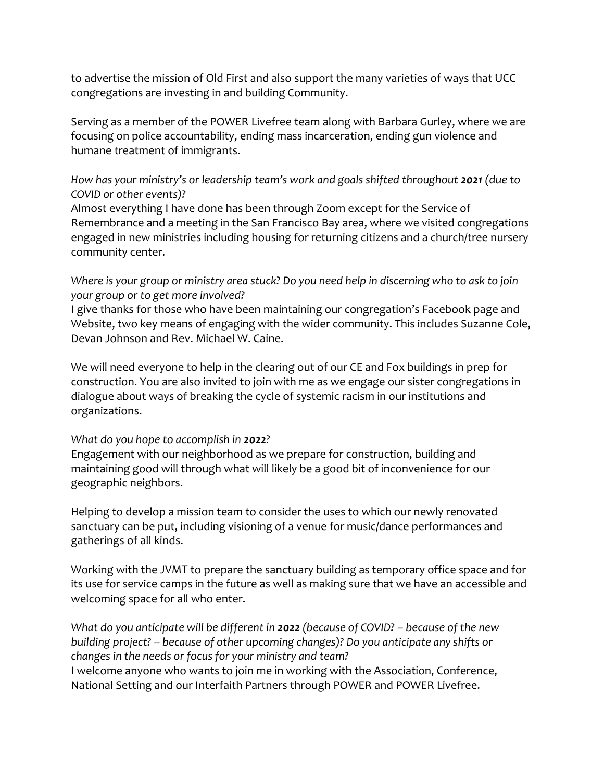to advertise the mission of Old First and also support the many varieties of ways that UCC congregations are investing in and building Community.

Serving as a member of the POWER Livefree team along with Barbara Gurley, where we are focusing on police accountability, ending mass incarceration, ending gun violence and humane treatment of immigrants.

*How has your ministry's or leadership team's work and goals shifted throughout 2021 (due to COVID or other events)?*

Almost everything I have done has been through Zoom except for the Service of Remembrance and a meeting in the San Francisco Bay area, where we visited congregations engaged in new ministries including housing for returning citizens and a church/tree nursery community center.

*Where is your group or ministry area stuck? Do you need help in discerning who to ask to join your group or to get more involved?*

I give thanks for those who have been maintaining our congregation's Facebook page and Website, two key means of engaging with the wider community. This includes Suzanne Cole, Devan Johnson and Rev. Michael W. Caine.

We will need everyone to help in the clearing out of our CE and Fox buildings in prep for construction. You are also invited to join with me as we engage our sister congregations in dialogue about ways of breaking the cycle of systemic racism in our institutions and organizations.

## *What do you hope to accomplish in 2022?*

Engagement with our neighborhood as we prepare for construction, building and maintaining good will through what will likely be a good bit of inconvenience for our geographic neighbors.

Helping to develop a mission team to consider the uses to which our newly renovated sanctuary can be put, including visioning of a venue for music/dance performances and gatherings of all kinds.

Working with the JVMT to prepare the sanctuary building as temporary office space and for its use for service camps in the future as well as making sure that we have an accessible and welcoming space for all who enter.

*What do you anticipate will be different in 2022 (because of COVID? – because of the new building project? -- because of other upcoming changes)? Do you anticipate any shifts or changes in the needs or focus for your ministry and team?*

I welcome anyone who wants to join me in working with the Association, Conference, National Setting and our Interfaith Partners through POWER and POWER Livefree.